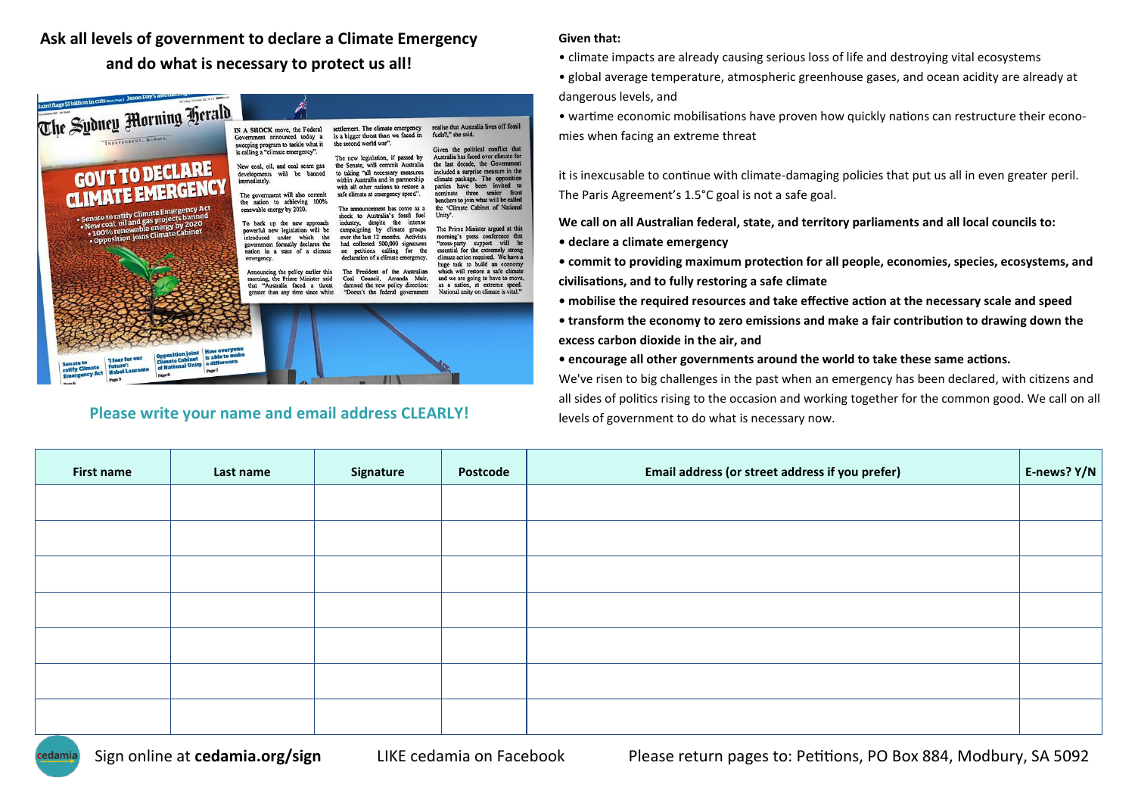**Ask all levels of government to declare a Climate Emergency and do what is necessary to protect us all!**

| The Sydney Morning Herald<br>INDEPENDENT, ALWAYS.<br><b>GOVT TO DECLARE</b><br>CLIMATE EMERGENCY<br>· Senate to ratify Climate Emergency Act<br>. New coal, oil and gas projects banned<br>. 100% renewable energy by 2020<br>· Opposition joins Climate Cabinet | IN A SHOCK move, the Federal<br>Government announced today a<br>sweeping program to tackle what it<br>is calling a "climate emergency".<br>New coal, oil, and coal seam gas<br>developments will be banned<br>immediately.<br>The government will also commit<br>the nation to achieving 100%<br>renewable energy by 2020.<br>To back up the new approach<br>powerful new legislation will be<br>introduced under which the<br>government formally declares the<br>nation in a state of a climate<br>emergency.<br>Announcing the policy earlier this<br>morning, the Prime Minister said<br>that "Australia faced a threat | settlement. The climate emergency<br>is a bigger threat than we faced in<br>the second world war".<br>The new legislation, if passed by<br>the Senate, will commit Australia<br>to taking "all necessary measures<br>within Australia and in partnership<br>with all other nations to restore a<br>safe climate at emergency speed".<br>The announcement has come as a<br>shock to Australia's fossil fuel<br>industry, despite the intense<br>campaigning by climate groups<br>over the last 12 months. Activists<br>had collected 500,000 signatures<br>petitions calling for the<br>$\alpha$<br>declaration of a climate emergency.<br>The President of the Australian<br>Coal Council, Amanda Muir,<br>damned the new policy direction: | realise that Australia lives off fossil<br>fuels?," she said.<br>Given the political conflict that<br>Australia has faced over climate for<br>the last decade, the Government<br>included a surprise measure in the<br>climate package. The opposition<br>parties have been invited to<br>nominate three senior front<br>benchers to join what will be called<br>the 'Climate Cabinet of National<br>Unity'.<br>The Prime Minister argued at this<br>morning's press conference that<br>"cross-party support will be<br>essential for the extremely strong<br>climate action required. We have a<br>huge task to build an economy<br>which will restore a safe climate<br>and we are going to have to move,<br>as a nation, at extreme speed. |
|------------------------------------------------------------------------------------------------------------------------------------------------------------------------------------------------------------------------------------------------------------------|-----------------------------------------------------------------------------------------------------------------------------------------------------------------------------------------------------------------------------------------------------------------------------------------------------------------------------------------------------------------------------------------------------------------------------------------------------------------------------------------------------------------------------------------------------------------------------------------------------------------------------|---------------------------------------------------------------------------------------------------------------------------------------------------------------------------------------------------------------------------------------------------------------------------------------------------------------------------------------------------------------------------------------------------------------------------------------------------------------------------------------------------------------------------------------------------------------------------------------------------------------------------------------------------------------------------------------------------------------------------------------------|-----------------------------------------------------------------------------------------------------------------------------------------------------------------------------------------------------------------------------------------------------------------------------------------------------------------------------------------------------------------------------------------------------------------------------------------------------------------------------------------------------------------------------------------------------------------------------------------------------------------------------------------------------------------------------------------------------------------------------------------------|
| <b>How everyone</b><br><b>Opposition joins</b><br>is able to make<br><b>1 fear for our</b><br><b>Climate Cabinet</b><br>a difference<br><b>Sonate to</b><br>of National Unity<br>futuro':<br>ratify Climate<br><b>Mobel Laurente</b><br>Page 7                   | greater than any time since white                                                                                                                                                                                                                                                                                                                                                                                                                                                                                                                                                                                           | "Doesn't the federal government                                                                                                                                                                                                                                                                                                                                                                                                                                                                                                                                                                                                                                                                                                             | National unity on climate is vital."                                                                                                                                                                                                                                                                                                                                                                                                                                                                                                                                                                                                                                                                                                          |

## **Please write your name and email address CLEARLY!**

## **Given that:**

- climate impacts are already causing serious loss of life and destroying vital ecosystems
- global average temperature, atmospheric greenhouse gases, and ocean acidity are already at dangerous levels, and
- wartime economic mobilisations have proven how quickly nations can restructure their economies when facing an extreme threat

it is inexcusable to continue with climate-damaging policies that put us all in even greater peril. The Paris Agreement's 1.5°C goal is not a safe goal.

**We call on all Australian federal, state, and territory parliaments and all local councils to:**

**• declare a climate emergency**

**• commit to providing maximum protection for all people, economies, species, ecosystems, and civilisations, and to fully restoring a safe climate**

- **mobilise the required resources and take effective action at the necessary scale and speed**
- **transform the economy to zero emissions and make a fair contribution to drawing down the excess carbon dioxide in the air, and**

**• encourage all other governments around the world to take these same actions.**

We've risen to big challenges in the past when an emergency has been declared, with citizens and all sides of politics rising to the occasion and working together for the common good. We call on all levels of government to do what is necessary now.

| <b>First name</b> | Last name | Signature | Postcode | Email address (or street address if you prefer) | E-news? Y/N |
|-------------------|-----------|-----------|----------|-------------------------------------------------|-------------|
|                   |           |           |          |                                                 |             |
|                   |           |           |          |                                                 |             |
|                   |           |           |          |                                                 |             |
|                   |           |           |          |                                                 |             |
|                   |           |           |          |                                                 |             |
|                   |           |           |          |                                                 |             |
|                   |           |           |          |                                                 |             |